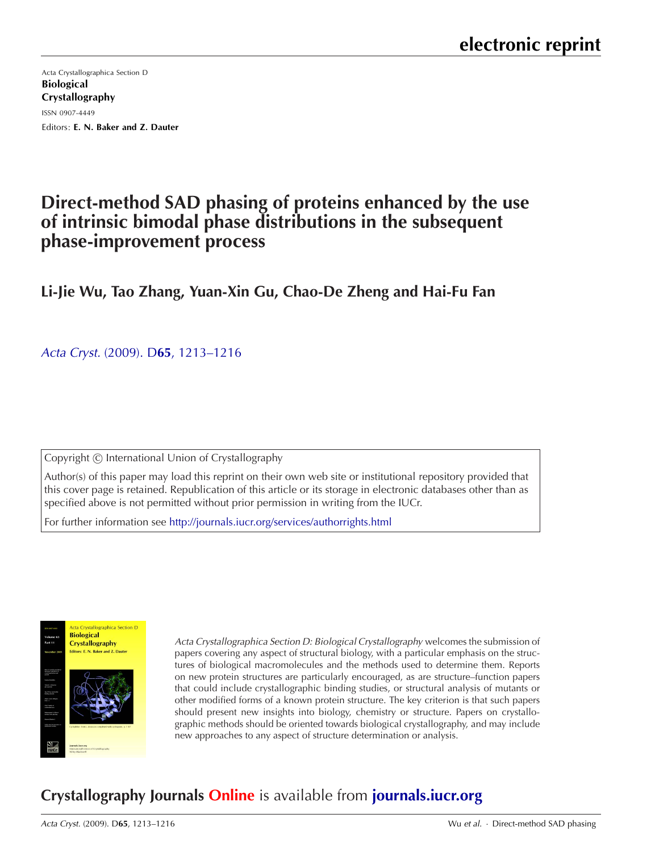Acta Crystallographica Section D Biological Crystallography ISSN 0907-4449 Editors: [E. N. Baker and Z. Dauter](http://journals.iucr.org/d/)

# **Direct-method SAD phasing of proteins enhanced by the use of intrinsic bimodal phase distributions in the subsequent phase-improvement process**

## **Li-Jie Wu, Tao Zhang, Yuan-Xin Gu, Chao-De Zheng and Hai-Fu Fan**

Acta Cryst. (2009). D**65**[, 1213–1216](http://dx.doi.org/10.1107/S0907444909037044)

Copyright © International Union of Crystallography

Author(s) of this paper may load this reprint on their own web site or institutional repository provided that this cover page is retained. Republication of this article or its storage in electronic databases other than as specified above is not permitted without prior permission in writing from the IUCr.

For further information see <http://journals.iucr.org/services/authorrights.html>



Acta Crystallographica Section D: Biological Crystallography welcomes the submission of papers covering any aspect of structural biology, with a particular emphasis on the structures of biological macromolecules and the methods used to determine them. Reports on new protein structures are particularly encouraged, as are structure–function papers that could include crystallographic binding studies, or structural analysis of mutants or other modified forms of a known protein structure. The key criterion is that such papers should present new insights into biology, chemistry or structure. Papers on crystallographic methods should be oriented towards biological crystallography, and may include new approaches to any aspect of structure determination or analysis.

# **Crystallography Journals Online** is available from **[journals.iucr.org](http://journals.iucr.org)**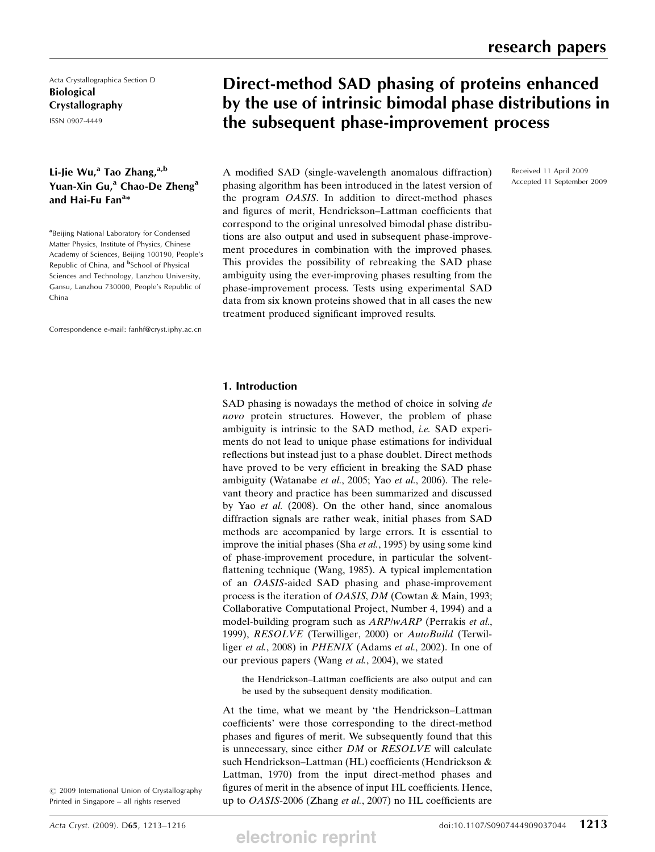Received 11 April 2009 Accepted 11 September 2009

Acta Crystallographica Section D Biological Crystallography

ISSN 0907-4449

### Li-Jie Wu,<sup>a</sup> Tao Zhang, $a,b$ Yuan-Xin Gu,<sup>a</sup> Chao-De Zheng<sup>a</sup> and Hai-Fu Fan $^{a_{*}}$

<sup>a</sup>Beijing National Laboratory for Condensed Matter Physics, Institute of Physics, Chinese Academy of Sciences, Beijing 100190, People's Republic of China, and <sup>b</sup>School of Physical Sciences and Technology, Lanzhou University, Gansu, Lanzhou 730000, People's Republic of China

Correspondence e-mail: fanhf@cryst.iphy.ac.cn

## Direct-method SAD phasing of proteins enhanced by the use of intrinsic bimodal phase distributions in the subsequent phase-improvement process

A modified SAD (single-wavelength anomalous diffraction) phasing algorithm has been introduced in the latest version of the program OASIS. In addition to direct-method phases and figures of merit, Hendrickson–Lattman coefficients that correspond to the original unresolved bimodal phase distributions are also output and used in subsequent phase-improvement procedures in combination with the improved phases. This provides the possibility of rebreaking the SAD phase ambiguity using the ever-improving phases resulting from the phase-improvement process. Tests using experimental SAD data from six known proteins showed that in all cases the new treatment produced significant improved results.

#### 1. Introduction

SAD phasing is nowadays the method of choice in solving de novo protein structures. However, the problem of phase ambiguity is intrinsic to the SAD method, i.e. SAD experiments do not lead to unique phase estimations for individual reflections but instead just to a phase doublet. Direct methods have proved to be very efficient in breaking the SAD phase ambiguity (Watanabe et al., 2005; Yao et al., 2006). The relevant theory and practice has been summarized and discussed by Yao et al. (2008). On the other hand, since anomalous diffraction signals are rather weak, initial phases from SAD methods are accompanied by large errors. It is essential to improve the initial phases (Sha et al., 1995) by using some kind of phase-improvement procedure, in particular the solventflattening technique (Wang, 1985). A typical implementation of an OASIS-aided SAD phasing and phase-improvement process is the iteration of OASIS, DM (Cowtan & Main, 1993; Collaborative Computational Project, Number 4, 1994) and a model-building program such as ARP/wARP (Perrakis et al., 1999), RESOLVE (Terwilliger, 2000) or AutoBuild (Terwilliger et al., 2008) in PHENIX (Adams et al., 2002). In one of our previous papers (Wang et al., 2004), we stated

the Hendrickson–Lattman coefficients are also output and can be used by the subsequent density modification.

At the time, what we meant by 'the Hendrickson–Lattman coefficients' were those corresponding to the direct-method phases and figures of merit. We subsequently found that this is unnecessary, since either DM or RESOLVE will calculate such Hendrickson–Lattman (HL) coefficients (Hendrickson & Lattman, 1970) from the input direct-method phases and figures of merit in the absence of input HL coefficients. Hence, up to OASIS-2006 (Zhang et al., 2007) no HL coefficients are

 $\circ$  2009 International Union of Crystallography Printed in Singapore – all rights reserved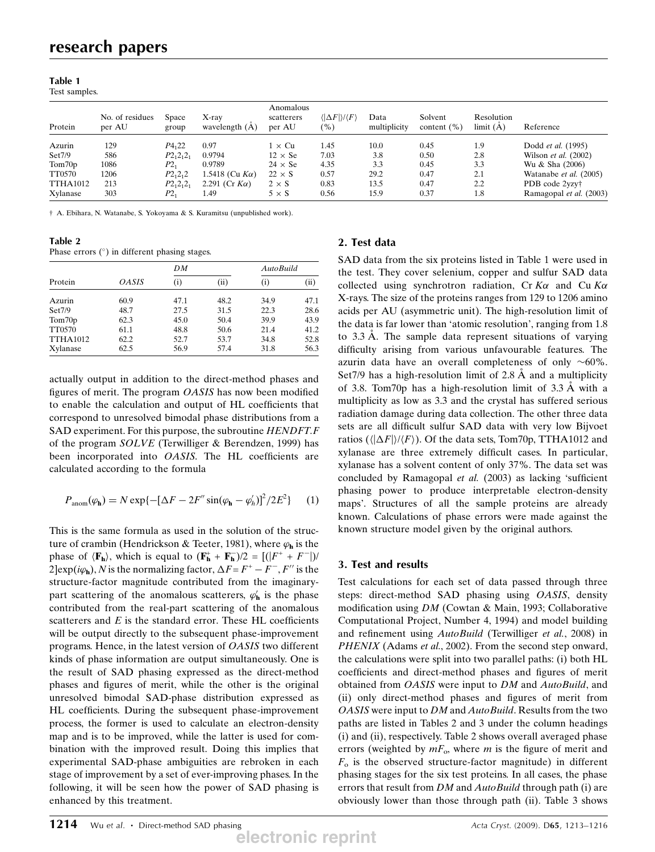#### Table 1

Test samples.

| Protein         | No. of residues<br>per AU | Space<br>group | $X$ -ray<br>wavelength $(A)$ | Anomalous<br>scatterers<br>per AU | $\langle  \Delta F  \rangle / \langle F \rangle$<br>$\mathcal{O}_0$ | Data<br>multiplicity | Solvent<br>content $(\%)$ | Resolution<br>limit(A) | Reference                     |
|-----------------|---------------------------|----------------|------------------------------|-----------------------------------|---------------------------------------------------------------------|----------------------|---------------------------|------------------------|-------------------------------|
| Azurin          | 129                       | $P_{4,22}$     | 0.97                         | $1 \times Cu$                     | 1.45                                                                | 10.0                 | 0.45                      | 1.9                    | Dodd <i>et al.</i> (1995)     |
| Set7/9          | 586                       | $P2_12_12_1$   | 0.9794                       | $12 \times$ Se                    | 7.03                                                                | 3.8                  | 0.50                      | 2.8                    | Wilson <i>et al.</i> $(2002)$ |
| Tom70p          | 1086                      | P2,            | 0.9789                       | $24 \times$ Se                    | 4.35                                                                | 3.3                  | 0.45                      | 3.3                    | Wu & Sha (2006)               |
| TT0570          | 1206                      | $P2_{1}2_{1}2$ | 1.5418 (Cu $K\alpha$ )       | $22 \times S$                     | 0.57                                                                | 29.2                 | 0.47                      | 2.1                    | Watanabe et al. (2005)        |
| <b>TTHA1012</b> | 213                       | $P2_12_12_1$   | 2.291 (Cr $K\alpha$ )        | $2 \times S$                      | 0.83                                                                | 13.5                 | 0.47                      | 2.2                    | PDB code 2yzy <sup>†</sup>    |
| Xylanase        | 303                       | $P2_1$         | 1.49                         | $5 \times S$                      | 0.56                                                                | 15.9                 | 0.37                      | 1.8                    | Ramagopal et al. (2003)       |

† A. Ebihara, N. Watanabe, S. Yokoyama & S. Kuramitsu (unpublished work).

Table 2

| Phase errors $(°)$ in different phasing stages. |  |  |  |  |  |
|-------------------------------------------------|--|--|--|--|--|
|-------------------------------------------------|--|--|--|--|--|

|                 |                     | DΜ       |      | AutoBuild |      |  |
|-----------------|---------------------|----------|------|-----------|------|--|
| Protein         | <i><b>OASIS</b></i> | $\rm(i)$ | (ii) | (i)       | (ii) |  |
| Azurin          | 60.9                | 47.1     | 48.2 | 34.9      | 47.1 |  |
| Set7/9          | 48.7                | 27.5     | 31.5 | 22.3      | 28.6 |  |
| Tom70p          | 62.3                | 45.0     | 50.4 | 39.9      | 43.9 |  |
| TT0570          | 61.1                | 48.8     | 50.6 | 21.4      | 41.2 |  |
| <b>TTHA1012</b> | 62.2                | 52.7     | 53.7 | 34.8      | 52.8 |  |
| Xylanase        | 62.5                | 56.9     | 57.4 | 31.8      | 56.3 |  |

actually output in addition to the direct-method phases and figures of merit. The program OASIS has now been modified to enable the calculation and output of HL coefficients that correspond to unresolved bimodal phase distributions from a SAD experiment. For this purpose, the subroutine HENDFT.F of the program SOLVE (Terwilliger & Berendzen, 1999) has been incorporated into OASIS. The HL coefficients are calculated according to the formula

$$
P_{\text{anom}}(\varphi_{\mathbf{h}}) = N \exp\{-[\Delta F - 2F'' \sin(\varphi_{\mathbf{h}} - \varphi'_{h})]^2 / 2E^2\} \tag{1}
$$

This is the same formula as used in the solution of the structure of crambin (Hendrickson & Teeter, 1981), where  $\varphi_{\bf h}$  is the phase of  $\langle \mathbf{F}_{h} \rangle$ , which is equal to  $(\mathbf{F}_{h}^{+} + \mathbf{F}_{h}^{-})/2 = [(|F^{+} + F^{-}|)/2]$ <br>2 exp(im) N is the normalizing factor  $\Delta F - F^{+} - F^{-} F''$  is the  $2$  exp( $i\varphi_h$ ), N is the normalizing factor,  $\Delta F = F^+ - F^-$ , F'' is the structure-factor magnitude contributed from the imaginarystructure-factor magnitude contributed from the imaginarypart scattering of the anomalous scatterers,  $\varphi'_{\mathbf{h}}$  is the phase contributed from the real-part scattering of the anomalous scatterers and  $E$  is the standard error. These HL coefficients will be output directly to the subsequent phase-improvement programs. Hence, in the latest version of OASIS two different kinds of phase information are output simultaneously. One is the result of SAD phasing expressed as the direct-method phases and figures of merit, while the other is the original unresolved bimodal SAD-phase distribution expressed as HL coefficients. During the subsequent phase-improvement process, the former is used to calculate an electron-density map and is to be improved, while the latter is used for combination with the improved result. Doing this implies that experimental SAD-phase ambiguities are rebroken in each stage of improvement by a set of ever-improving phases. In the following, it will be seen how the power of SAD phasing is enhanced by this treatment.

#### 2. Test data

SAD data from the six proteins listed in Table 1 were used in the test. They cover selenium, copper and sulfur SAD data collected using synchrotron radiation, Cr  $K\alpha$  and Cu  $K\alpha$ X-rays. The size of the proteins ranges from 129 to 1206 amino acids per AU (asymmetric unit). The high-resolution limit of the data is far lower than 'atomic resolution', ranging from 1.8 to 3.3 Å. The sample data represent situations of varying difficulty arising from various unfavourable features. The azurin data have an overall completeness of only  $~60\%$ . Set7/9 has a high-resolution limit of  $2.8 \text{ Å}$  and a multiplicity of 3.8. Tom70p has a high-resolution limit of  $3.3 \text{ Å}$  with a multiplicity as low as 3.3 and the crystal has suffered serious radiation damage during data collection. The other three data sets are all difficult sulfur SAD data with very low Bijvoet ratios  $(\langle \Delta F \rangle / \langle F \rangle)$ . Of the data sets, Tom70p, TTHA1012 and vylanase are three extremely difficult cases. In particular xylanase are three extremely difficult cases. In particular, xylanase has a solvent content of only 37%. The data set was concluded by Ramagopal et al. (2003) as lacking 'sufficient phasing power to produce interpretable electron-density maps'. Structures of all the sample proteins are already known. Calculations of phase errors were made against the known structure model given by the original authors.

#### 3. Test and results

Test calculations for each set of data passed through three steps: direct-method SAD phasing using OASIS, density modification using DM (Cowtan & Main, 1993; Collaborative Computational Project, Number 4, 1994) and model building and refinement using AutoBuild (Terwilliger et al., 2008) in PHENIX (Adams et al., 2002). From the second step onward, the calculations were split into two parallel paths: (i) both HL coefficients and direct-method phases and figures of merit obtained from *OASIS* were input to *DM* and *AutoBuild*, and (ii) only direct-method phases and figures of merit from OASIS were input to DM and AutoBuild. Results from the two paths are listed in Tables 2 and 3 under the column headings (i) and (ii), respectively. Table 2 shows overall averaged phase errors (weighted by  $mF_{\alpha}$ , where m is the figure of merit and  $F<sub>o</sub>$  is the observed structure-factor magnitude) in different phasing stages for the six test proteins. In all cases, the phase errors that result from DM and AutoBuild through path (i) are obviously lower than those through path (ii). Table 3 shows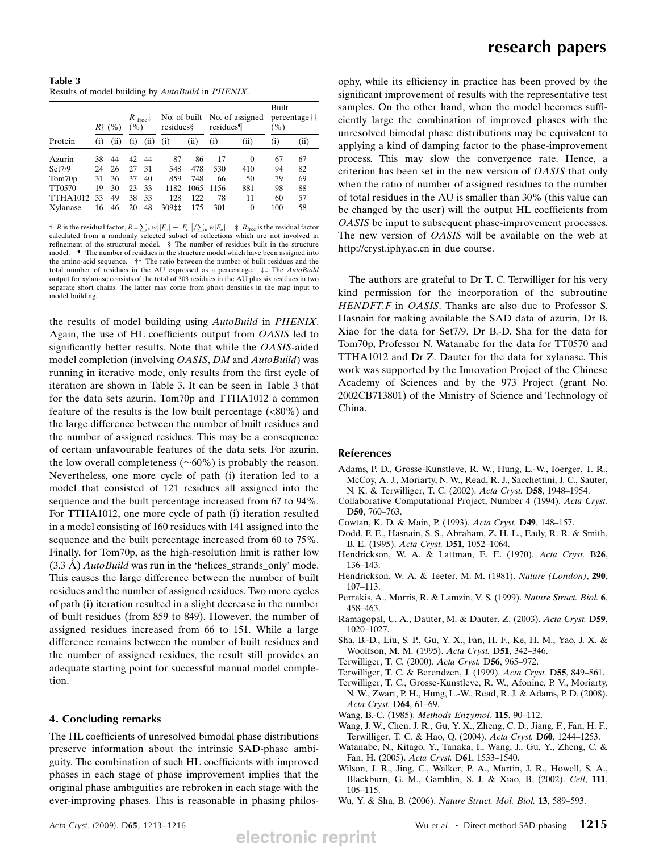| Table 3                                                          |  |  |
|------------------------------------------------------------------|--|--|
| Results of model building by <i>AutoBuild</i> in <i>PHENIX</i> . |  |  |

|                 | $R^{+}$ (%) |      | $R_{\text{free}}$<br>(%) |      | No. of built<br>residues§ |      | No. of assigned<br>residues |          | Built<br>percentage <sup>††</sup><br>$( \% )$ |      |
|-----------------|-------------|------|--------------------------|------|---------------------------|------|-----------------------------|----------|-----------------------------------------------|------|
| Protein         | $_{(1)}$    | (11) | $_{(1)}$                 | (11) | (i)                       | (i)  | (i)                         | (ii)     | $\left( i\right)$                             | (ii) |
| Azurin          | 38          | 44   | 42                       | 44   | 87                        | 86   | 17                          | $\theta$ | 67                                            | 67   |
| Set7/9          | 24          | 26   | 27                       | 31   | 548                       | 478  | 530                         | 410      | 94                                            | 82   |
| Tom70p          | 31          | 36   | 37                       | 40   | 859                       | 748  | 66                          | 50       | 79                                            | 69   |
| TT0570          | 19          | 30   | 23                       | 33   | 1182                      | 1065 | 1156                        | 881      | 98                                            | 88   |
| <b>TTHA1012</b> | 33          | 49   | 38                       | 53   | 128                       | 122  | 78                          | 11       | 60                                            | 57   |
| Xylanase        | 16          | 46   | 20                       | 48   | 309‡‡                     | 175  | 301                         | $\theta$ | 100                                           | 58   |

† R is the residual factor,  $R = \sum_h w |F_o| - |F_e| / \sum_h w |F_o|$ . ‡  $R_{\text{free}}$  is the residual factor calculated from a randomly selected subset of reflections which are not involved in refinement of the structural model. § The number of residues built in the structure model. } The number of residues in the structure model which have been assigned into the amino-acid sequence. †† The ratio between the number of built residues and the total number of residues in the AU expressed as a percentage. ‡‡ The AutoBuild output for xylanase consists of the total of 303 residues in the AU plus six residues in two separate short chains. The latter may come from ghost densities in the map input to model building.

the results of model building using AutoBuild in PHENIX. Again, the use of HL coefficients output from OASIS led to significantly better results. Note that while the OASIS-aided model completion (involving *OASIS*, *DM* and *AutoBuild*) was running in iterative mode, only results from the first cycle of iteration are shown in Table 3. It can be seen in Table 3 that for the data sets azurin, Tom70p and TTHA1012 a common feature of the results is the low built percentage  $(\langle 80\% \rangle)$  and the large difference between the number of built residues and the number of assigned residues. This may be a consequence of certain unfavourable features of the data sets. For azurin, the low overall completeness ( $\sim 60\%$ ) is probably the reason. Nevertheless, one more cycle of path (i) iteration led to a model that consisted of 121 residues all assigned into the sequence and the built percentage increased from 67 to 94%. For TTHA1012, one more cycle of path (i) iteration resulted in a model consisting of 160 residues with 141 assigned into the sequence and the built percentage increased from 60 to 75%. Finally, for Tom70p, as the high-resolution limit is rather low  $(3.3 \text{ A})$  *AutoBuild* was run in the 'helices\_strands\_only' mode. This causes the large difference between the number of built residues and the number of assigned residues. Two more cycles of path (i) iteration resulted in a slight decrease in the number of built residues (from 859 to 849). However, the number of assigned residues increased from 66 to 151. While a large difference remains between the number of built residues and the number of assigned residues, the result still provides an adequate starting point for successful manual model completion.

#### 4. Concluding remarks

The HL coefficients of unresolved bimodal phase distributions preserve information about the intrinsic SAD-phase ambiguity. The combination of such HL coefficients with improved phases in each stage of phase improvement implies that the original phase ambiguities are rebroken in each stage with the ever-improving phases. This is reasonable in phasing philos-

ophy, while its efficiency in practice has been proved by the significant improvement of results with the representative test samples. On the other hand, when the model becomes sufficiently large the combination of improved phases with the unresolved bimodal phase distributions may be equivalent to applying a kind of damping factor to the phase-improvement process. This may slow the convergence rate. Hence, a criterion has been set in the new version of OASIS that only when the ratio of number of assigned residues to the number of total residues in the AU is smaller than 30% (this value can be changed by the user) will the output HL coefficients from OASIS be input to subsequent phase-improvement processes. The new version of *OASIS* will be available on the web at http://cryst.iphy.ac.cn in due course.

The authors are grateful to Dr T. C. Terwilliger for his very kind permission for the incorporation of the subroutine HENDFT.F in OASIS. Thanks are also due to Professor S. Hasnain for making available the SAD data of azurin, Dr B. Xiao for the data for Set7/9, Dr B.-D. Sha for the data for Tom70p, Professor N. Watanabe for the data for TT0570 and TTHA1012 and Dr Z. Dauter for the data for xylanase. This work was supported by the Innovation Project of the Chinese Academy of Sciences and by the 973 Project (grant No. 2002CB713801) of the Ministry of Science and Technology of China.

#### References

- Adams, P. D., Grosse-Kunstleve, R. W., Hung, L.-W., Ioerger, T. R., McCoy, A. J., Moriarty, N. W., Read, R. J., Sacchettini, J. C., Sauter, N. K. & Terwilliger, T. C. (2002). Acta Cryst. D58, 1948-1954.
- Collaborative Computational Project, Number 4 (1994). Acta Cryst. D50, 760-763.
- Cowtan, K. D. & Main, P. (1993). Acta Cryst. D49, 148–157.
- Dodd, F. E., Hasnain, S. S., Abraham, Z. H. L., Eady, R. R. & Smith, B. E. (1995). Acta Cryst. D51, 1052–1064.
- Hendrickson, W. A. & Lattman, E. E. (1970). Acta Cryst. B26, 136–143.
- Hendrickson, W. A. & Teeter, M. M. (1981). Nature (London), 290, 107–113.
- Perrakis, A., Morris, R. & Lamzin, V. S. (1999). Nature Struct. Biol. 6, 458–463.
- Ramagopal, U. A., Dauter, M. & Dauter, Z. (2003). Acta Cryst. D59, 1020–1027.
- Sha, B.-D., Liu, S. P., Gu, Y. X., Fan, H. F., Ke, H. M., Yao, J. X. & Woolfson, M. M. (1995). Acta Cryst. D51, 342-346.
- Terwilliger, T. C. (2000). Acta Cryst. D56, 965–972.
- Terwilliger, T. C. & Berendzen, J. (1999). Acta Cryst. D55, 849–861.
- Terwilliger, T. C., Grosse-Kunstleve, R. W., Afonine, P. V., Moriarty, N. W., Zwart, P. H., Hung, L.-W., Read, R. J. & Adams, P. D. (2008). Acta Cryst. D64, 61–69.
- Wang, B.-C. (1985). Methods Enzymol. 115, 90-112.
- Wang, J. W., Chen, J. R., Gu, Y. X., Zheng, C. D., Jiang, F., Fan, H. F., Terwilliger, T. C. & Hao, Q. (2004). Acta Cryst. D60, 1244–1253.
- Watanabe, N., Kitago, Y., Tanaka, I., Wang, J., Gu, Y., Zheng, C. & Fan, H. (2005). Acta Cryst. D61, 1533–1540.
- Wilson, J. R., Jing, C., Walker, P. A., Martin, J. R., Howell, S. A., Blackburn, G. M., Gamblin, S. J. & Xiao, B. (2002). Cell, 111, 105–115.
- Wu, Y. & Sha, B. (2006). Nature Struct. Mol. Biol. 13, 589–593.

**electronic reprint**